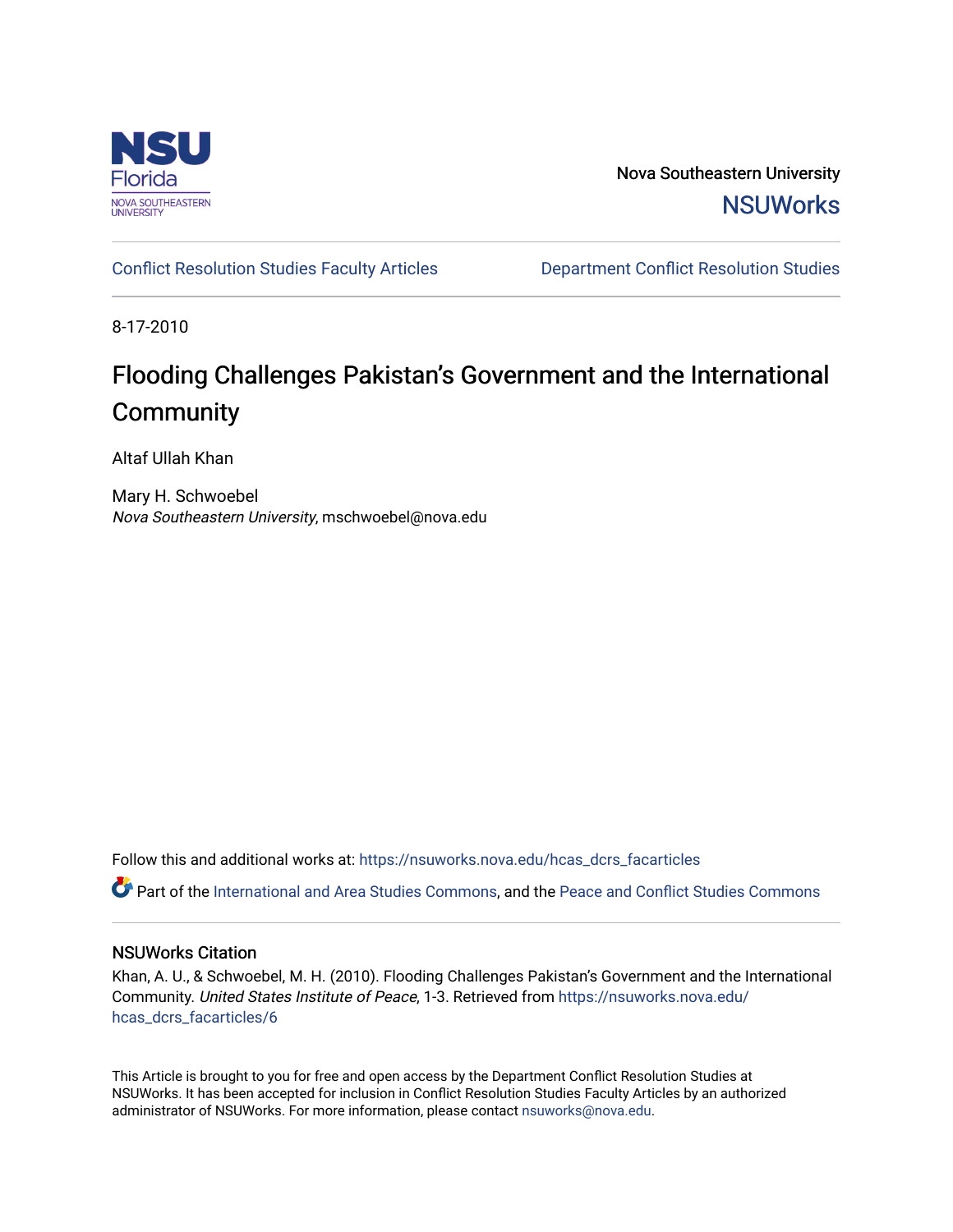

Nova Southeastern University **NSUWorks** 

[Conflict Resolution Studies Faculty Articles](https://nsuworks.nova.edu/hcas_dcrs_facarticles) [Department Conflict Resolution Studies](https://nsuworks.nova.edu/hcas_dcrs) 

8-17-2010

## Flooding Challenges Pakistan's Government and the International **Community**

Altaf Ullah Khan

Mary H. Schwoebel Nova Southeastern University, mschwoebel@nova.edu

Follow this and additional works at: [https://nsuworks.nova.edu/hcas\\_dcrs\\_facarticles](https://nsuworks.nova.edu/hcas_dcrs_facarticles?utm_source=nsuworks.nova.edu%2Fhcas_dcrs_facarticles%2F6&utm_medium=PDF&utm_campaign=PDFCoverPages)

Part of the [International and Area Studies Commons,](http://network.bepress.com/hgg/discipline/360?utm_source=nsuworks.nova.edu%2Fhcas_dcrs_facarticles%2F6&utm_medium=PDF&utm_campaign=PDFCoverPages) and the [Peace and Conflict Studies Commons](http://network.bepress.com/hgg/discipline/397?utm_source=nsuworks.nova.edu%2Fhcas_dcrs_facarticles%2F6&utm_medium=PDF&utm_campaign=PDFCoverPages)

#### NSUWorks Citation

Khan, A. U., & Schwoebel, M. H. (2010). Flooding Challenges Pakistan's Government and the International Community. United States Institute of Peace, 1-3. Retrieved from [https://nsuworks.nova.edu/](https://nsuworks.nova.edu/hcas_dcrs_facarticles/6?utm_source=nsuworks.nova.edu%2Fhcas_dcrs_facarticles%2F6&utm_medium=PDF&utm_campaign=PDFCoverPages) [hcas\\_dcrs\\_facarticles/6](https://nsuworks.nova.edu/hcas_dcrs_facarticles/6?utm_source=nsuworks.nova.edu%2Fhcas_dcrs_facarticles%2F6&utm_medium=PDF&utm_campaign=PDFCoverPages) 

This Article is brought to you for free and open access by the Department Conflict Resolution Studies at NSUWorks. It has been accepted for inclusion in Conflict Resolution Studies Faculty Articles by an authorized administrator of NSUWorks. For more information, please contact [nsuworks@nova.edu.](mailto:nsuworks@nova.edu)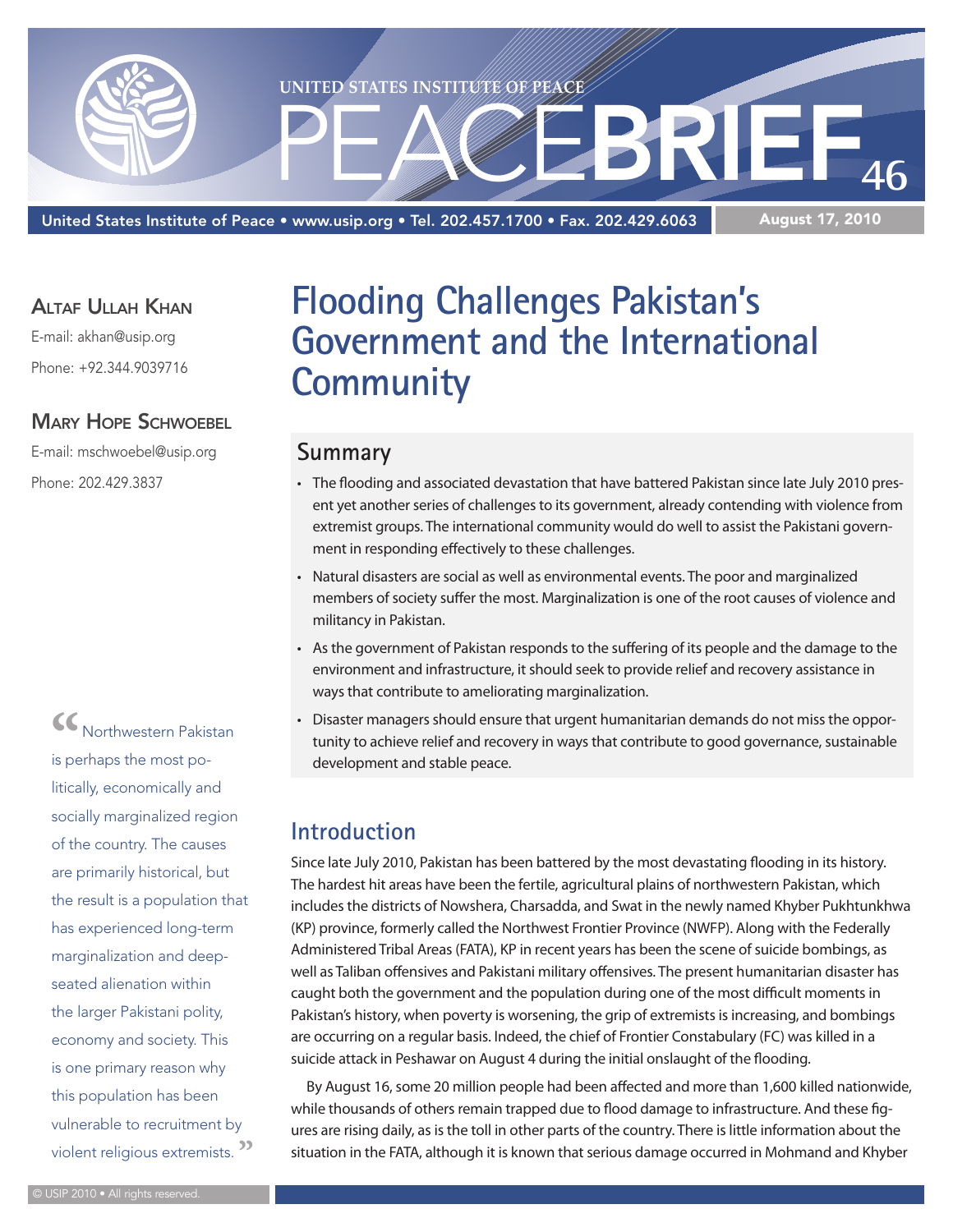

United States Institute of Peace • www.usip.org • Tel. 202.457.1700 • Fax. 202.429.6063

#### Altaf Ullah Khan

E-mail: akhan@usip.org Phone: +92.344.9039716

#### **MARY HOPE SCHWOEBEL**

E-mail: mschwoebel@usip.org Phone: 202.429.3837

> **"**Northwestern Pakistan is perhaps the most politically, economically and socially marginalized region of the country. The causes are primarily historical, but the result is a population that has experienced long-term marginalization and deepseated alienation within the larger Pakistani polity, economy and society. This is one primary reason why this population has been vulnerable to recruitment by violent religious extremists. **"**

## **Flooding Challenges Pakistan's Government and the International Community**

#### **Summary**

- • The flooding and associated devastation that have battered Pakistan since late July 2010 present yet another series of challenges to its government, already contending with violence from extremist groups. The international community would do well to assist the Pakistani government in responding effectively to these challenges.
- • Natural disasters are social as well as environmental events. The poor and marginalized members of society suffer the most. Marginalization is one of the root causes of violence and militancy in Pakistan.
- • As the government of Pakistan responds to the suffering of its people and the damage to the environment and infrastructure, it should seek to provide relief and recovery assistance in ways that contribute to ameliorating marginalization.
- Disaster managers should ensure that urgent humanitarian demands do not miss the opportunity to achieve relief and recovery in ways that contribute to good governance, sustainable development and stable peace.

## **Introduction**

Since late July 2010, Pakistan has been battered by the most devastating flooding in its history. The hardest hit areas have been the fertile, agricultural plains of northwestern Pakistan, which includes the districts of Nowshera, Charsadda, and Swat in the newly named Khyber Pukhtunkhwa (KP) province, formerly called the Northwest Frontier Province (NWFP). Along with the Federally Administered Tribal Areas (FATA), KP in recent years has been the scene of suicide bombings, as well as Taliban offensives and Pakistani military offensives. The present humanitarian disaster has caught both the government and the population during one of the most difficult moments in Pakistan's history, when poverty is worsening, the grip of extremists is increasing, and bombings are occurring on a regular basis. Indeed, the chief of Frontier Constabulary (FC) was killed in a suicide attack in Peshawar on August 4 during the initial onslaught of the flooding.

By August 16, some 20 million people had been affected and more than 1,600 killed nationwide, while thousands of others remain trapped due to flood damage to infrastructure. And these figures are rising daily, as is the toll in other parts of the country. There is little information about the situation in the FATA, although it is known that serious damage occurred in Mohmand and Khyber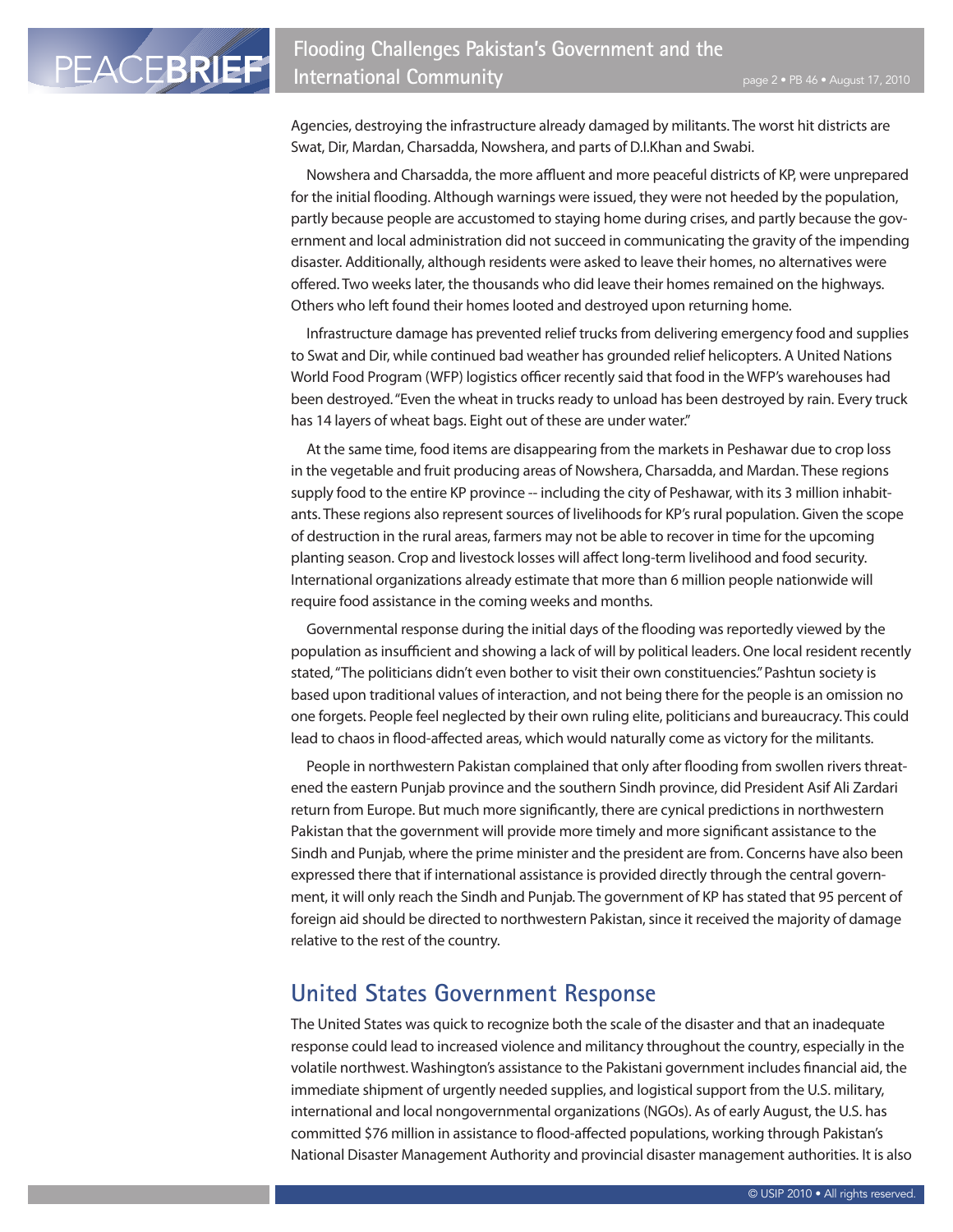PEACEBRIEF

Agencies, destroying the infrastructure already damaged by militants. The worst hit districts are Swat, Dir, Mardan, Charsadda, Nowshera, and parts of D.I.Khan and Swabi.

Nowshera and Charsadda, the more affluent and more peaceful districts of KP, were unprepared for the initial flooding. Although warnings were issued, they were not heeded by the population, partly because people are accustomed to staying home during crises, and partly because the government and local administration did not succeed in communicating the gravity of the impending disaster. Additionally, although residents were asked to leave their homes, no alternatives were offered. Two weeks later, the thousands who did leave their homes remained on the highways. Others who left found their homes looted and destroyed upon returning home.

Infrastructure damage has prevented relief trucks from delivering emergency food and supplies to Swat and Dir, while continued bad weather has grounded relief helicopters. A United Nations World Food Program (WFP) logistics officer recently said that food in the WFP's warehouses had been destroyed. "Even the wheat in trucks ready to unload has been destroyed by rain. Every truck has 14 layers of wheat bags. Eight out of these are under water."

At the same time, food items are disappearing from the markets in Peshawar due to crop loss in the vegetable and fruit producing areas of Nowshera, Charsadda, and Mardan. These regions supply food to the entire KP province -- including the city of Peshawar, with its 3 million inhabitants. These regions also represent sources of livelihoods for KP's rural population. Given the scope of destruction in the rural areas, farmers may not be able to recover in time for the upcoming planting season. Crop and livestock losses will affect long-term livelihood and food security. International organizations already estimate that more than 6 million people nationwide will require food assistance in the coming weeks and months.

Governmental response during the initial days of the flooding was reportedly viewed by the population as insufficient and showing a lack of will by political leaders. One local resident recently stated, "The politicians didn't even bother to visit their own constituencies." Pashtun society is based upon traditional values of interaction, and not being there for the people is an omission no one forgets. People feel neglected by their own ruling elite, politicians and bureaucracy. This could lead to chaos in flood-affected areas, which would naturally come as victory for the militants.

People in northwestern Pakistan complained that only after flooding from swollen rivers threatened the eastern Punjab province and the southern Sindh province, did President Asif Ali Zardari return from Europe. But much more significantly, there are cynical predictions in northwestern Pakistan that the government will provide more timely and more significant assistance to the Sindh and Punjab, where the prime minister and the president are from. Concerns have also been expressed there that if international assistance is provided directly through the central government, it will only reach the Sindh and Punjab. The government of KP has stated that 95 percent of foreign aid should be directed to northwestern Pakistan, since it received the majority of damage relative to the rest of the country.

#### **United States Government Response**

The United States was quick to recognize both the scale of the disaster and that an inadequate response could lead to increased violence and militancy throughout the country, especially in the volatile northwest. Washington's assistance to the Pakistani government includes financial aid, the immediate shipment of urgently needed supplies, and logistical support from the U.S. military, international and local nongovernmental organizations (NGOs). As of early August, the U.S. has committed \$76 million in assistance to flood-affected populations, working through Pakistan's National Disaster Management Authority and provincial disaster management authorities. It is also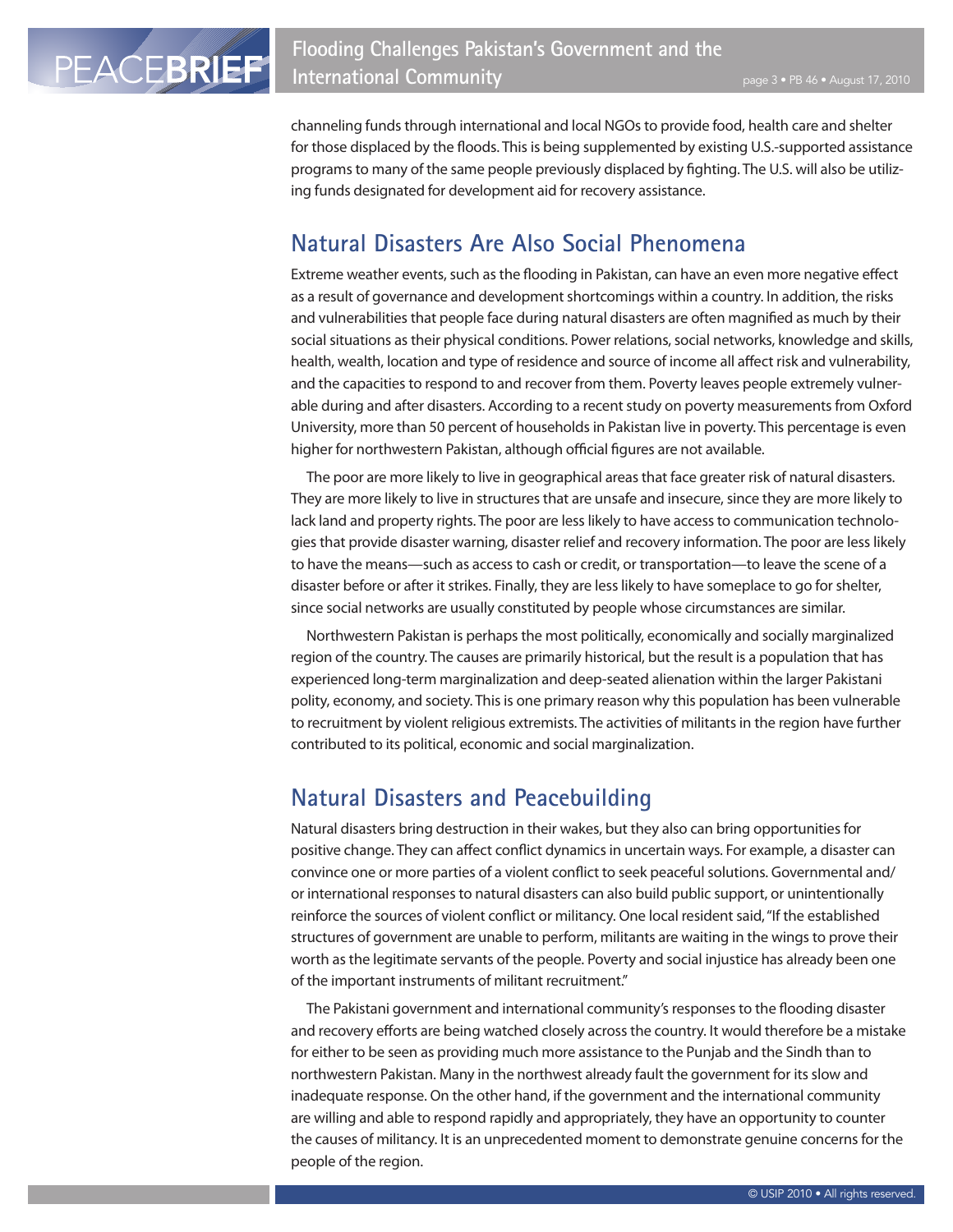channeling funds through international and local NGOs to provide food, health care and shelter for those displaced by the floods. This is being supplemented by existing U.S.-supported assistance programs to many of the same people previously displaced by fighting. The U.S. will also be utilizing funds designated for development aid for recovery assistance.

## **Natural Disasters Are Also Social Phenomena**

Extreme weather events, such as the flooding in Pakistan, can have an even more negative effect as a result of governance and development shortcomings within a country. In addition, the risks and vulnerabilities that people face during natural disasters are often magnified as much by their social situations as their physical conditions. Power relations, social networks, knowledge and skills, health, wealth, location and type of residence and source of income all affect risk and vulnerability, and the capacities to respond to and recover from them. Poverty leaves people extremely vulnerable during and after disasters. According to a recent study on poverty measurements from Oxford University, more than 50 percent of households in Pakistan live in poverty. This percentage is even higher for northwestern Pakistan, although official figures are not available.

The poor are more likely to live in geographical areas that face greater risk of natural disasters. They are more likely to live in structures that are unsafe and insecure, since they are more likely to lack land and property rights. The poor are less likely to have access to communication technologies that provide disaster warning, disaster relief and recovery information. The poor are less likely to have the means—such as access to cash or credit, or transportation—to leave the scene of a disaster before or after it strikes. Finally, they are less likely to have someplace to go for shelter, since social networks are usually constituted by people whose circumstances are similar.

Northwestern Pakistan is perhaps the most politically, economically and socially marginalized region of the country. The causes are primarily historical, but the result is a population that has experienced long-term marginalization and deep-seated alienation within the larger Pakistani polity, economy, and society. This is one primary reason why this population has been vulnerable to recruitment by violent religious extremists. The activities of militants in the region have further contributed to its political, economic and social marginalization.

#### **Natural Disasters and Peacebuilding**

Natural disasters bring destruction in their wakes, but they also can bring opportunities for positive change. They can affect conflict dynamics in uncertain ways. For example, a disaster can convince one or more parties of a violent conflict to seek peaceful solutions. Governmental and/ or international responses to natural disasters can also build public support, or unintentionally reinforce the sources of violent conflict or militancy. One local resident said, "If the established structures of government are unable to perform, militants are waiting in the wings to prove their worth as the legitimate servants of the people. Poverty and social injustice has already been one of the important instruments of militant recruitment."

The Pakistani government and international community's responses to the flooding disaster and recovery efforts are being watched closely across the country. It would therefore be a mistake for either to be seen as providing much more assistance to the Punjab and the Sindh than to northwestern Pakistan. Many in the northwest already fault the government for its slow and inadequate response. On the other hand, if the government and the international community are willing and able to respond rapidly and appropriately, they have an opportunity to counter the causes of militancy. It is an unprecedented moment to demonstrate genuine concerns for the people of the region.